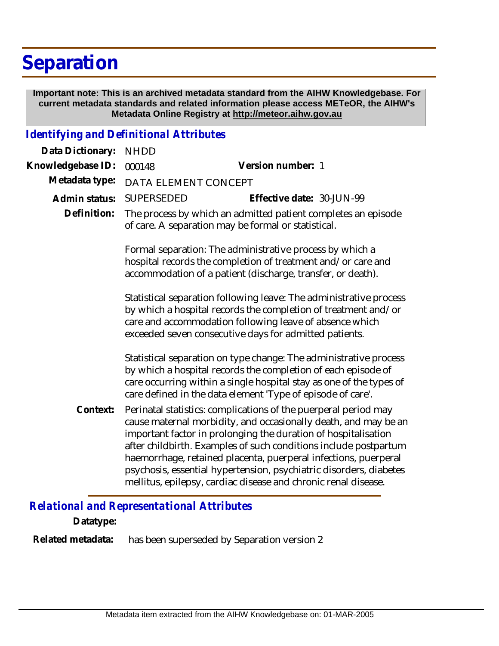## **Separation**

 **Important note: This is an archived metadata standard from the AIHW Knowledgebase. For current metadata standards and related information please access METeOR, the AIHW's Metadata Online Registry at http://meteor.aihw.gov.au**

## *Identifying and Definitional Attributes*

| Data Dictionary:  | <b>NHDD</b>                                                                                                          |                                                                                                                                                                                                                                                                                                                                                                                                                                                                                     |
|-------------------|----------------------------------------------------------------------------------------------------------------------|-------------------------------------------------------------------------------------------------------------------------------------------------------------------------------------------------------------------------------------------------------------------------------------------------------------------------------------------------------------------------------------------------------------------------------------------------------------------------------------|
| Knowledgebase ID: | 000148                                                                                                               | Version number: 1                                                                                                                                                                                                                                                                                                                                                                                                                                                                   |
| Metadata type:    | DATA ELEMENT CONCEPT                                                                                                 |                                                                                                                                                                                                                                                                                                                                                                                                                                                                                     |
| Admin status:     | SUPERSEDED                                                                                                           | Effective date: 30-JUN-99                                                                                                                                                                                                                                                                                                                                                                                                                                                           |
| Definition:       | The process by which an admitted patient completes an episode<br>of care. A separation may be formal or statistical. |                                                                                                                                                                                                                                                                                                                                                                                                                                                                                     |
|                   |                                                                                                                      | Formal separation: The administrative process by which a<br>hospital records the completion of treatment and/or care and<br>accommodation of a patient (discharge, transfer, or death).                                                                                                                                                                                                                                                                                             |
|                   |                                                                                                                      | Statistical separation following leave: The administrative process<br>by which a hospital records the completion of treatment and/or<br>care and accommodation following leave of absence which<br>exceeded seven consecutive days for admitted patients.                                                                                                                                                                                                                           |
|                   |                                                                                                                      | Statistical separation on type change: The administrative process<br>by which a hospital records the completion of each episode of<br>care occurring within a single hospital stay as one of the types of<br>care defined in the data element 'Type of episode of care'.                                                                                                                                                                                                            |
| Context:          |                                                                                                                      | Perinatal statistics: complications of the puerperal period may<br>cause maternal morbidity, and occasionally death, and may be an<br>important factor in prolonging the duration of hospitalisation<br>after childbirth. Examples of such conditions include postpartum<br>haemorrhage, retained placenta, puerperal infections, puerperal<br>psychosis, essential hypertension, psychiatric disorders, diabetes<br>mellitus, epilepsy, cardiac disease and chronic renal disease. |

*Relational and Representational Attributes*

**Datatype:**

has been superseded by Separation version 2 **Related metadata:**